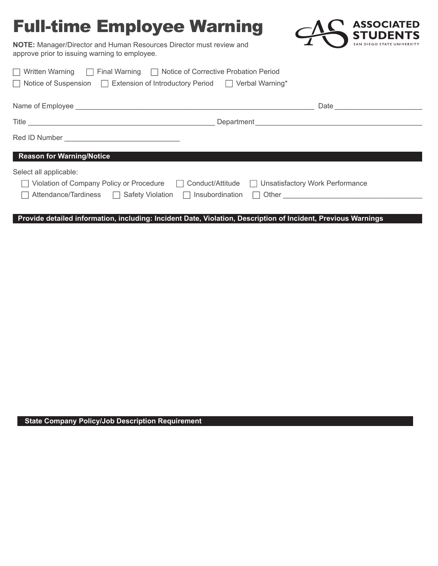## Full-time Employee Warning



**NOTE:** Manager/Director and Human Resources Director must review and approve prior to issuing warning to employee.

| $\Box$ Written Warning $\Box$ Final Warning $\Box$ Notice of Corrective Probation Period   |                                      |  |  |
|--------------------------------------------------------------------------------------------|--------------------------------------|--|--|
| $\Box$ Notice of Suspension $\Box$ Extension of Introductory Period $\Box$ Verbal Warning* |                                      |  |  |
|                                                                                            |                                      |  |  |
|                                                                                            |                                      |  |  |
|                                                                                            |                                      |  |  |
|                                                                                            |                                      |  |  |
| <b>Reason for Warning/Notice</b>                                                           |                                      |  |  |
| Select all applicable:                                                                     |                                      |  |  |
| Violation of Company Policy or Procedure □ Conduct/Attitude                                | □ Unsatisfactory Work Performance    |  |  |
| Attendance/Tardiness □ Safety Violation □ Insubordination                                  | Other <u>example</u><br>$\mathsf{L}$ |  |  |
|                                                                                            |                                      |  |  |

**Provide detailed information, including: Incident Date, Violation, Description of Incident, Previous Warnings**

**State Company Policy/Job Description Requirement**